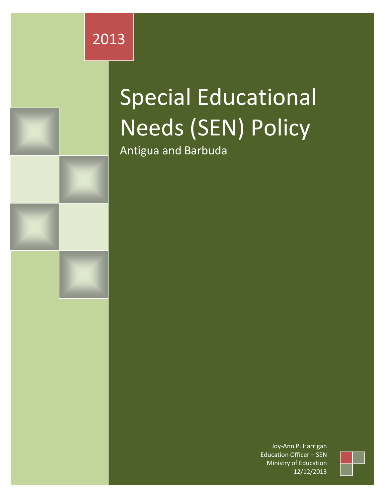

# Special Educational Needs (SEN) Policy

Antigua and Barbuda

Joy-Ann P. Harrigan Education Officer – SEN Ministry of Education 12/12/2013

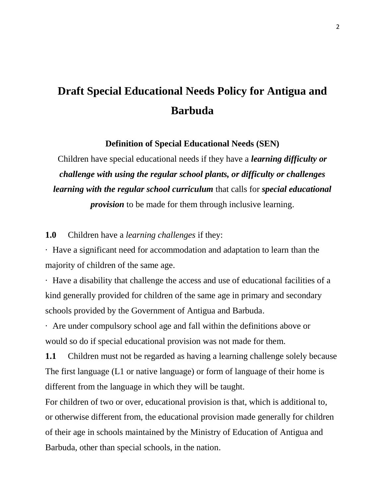# **Draft Special Educational Needs Policy for Antigua and Barbuda**

**Definition of Special Educational Needs (SEN)**

Children have special educational needs if they have a *learning difficulty or challenge with using the regular school plants, or difficulty or challenges learning with the regular school curriculum* that calls for *special educational* 

*provision* to be made for them through inclusive learning.

**1.0** Children have a *learning challenges* if they:

· Have a significant need for accommodation and adaptation to learn than the majority of children of the same age.

· Have a disability that challenge the access and use of educational facilities of a kind generally provided for children of the same age in primary and secondary schools provided by the Government of Antigua and Barbuda.

· Are under compulsory school age and fall within the definitions above or would so do if special educational provision was not made for them.

**1.1** Children must not be regarded as having a learning challenge solely because The first language (L1 or native language) or form of language of their home is different from the language in which they will be taught.

For children of two or over, educational provision is that, which is additional to, or otherwise different from, the educational provision made generally for children of their age in schools maintained by the Ministry of Education of Antigua and Barbuda, other than special schools, in the nation.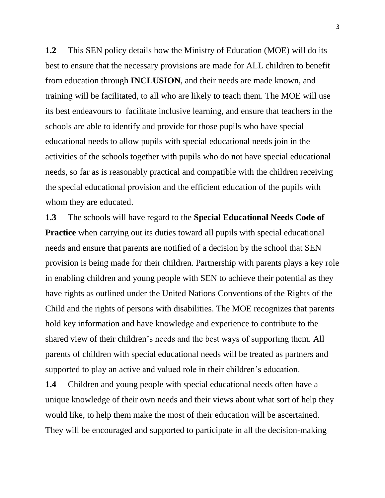**1.2** This SEN policy details how the Ministry of Education (MOE) will do its best to ensure that the necessary provisions are made for ALL children to benefit from education through **INCLUSION**, and their needs are made known, and training will be facilitated, to all who are likely to teach them. The MOE will use its best endeavours to facilitate inclusive learning, and ensure that teachers in the schools are able to identify and provide for those pupils who have special educational needs to allow pupils with special educational needs join in the activities of the schools together with pupils who do not have special educational needs, so far as is reasonably practical and compatible with the children receiving the special educational provision and the efficient education of the pupils with whom they are educated.

**1.3** The schools will have regard to the **Special Educational Needs Code of Practice** when carrying out its duties toward all pupils with special educational needs and ensure that parents are notified of a decision by the school that SEN provision is being made for their children. Partnership with parents plays a key role in enabling children and young people with SEN to achieve their potential as they have rights as outlined under the United Nations Conventions of the Rights of the Child and the rights of persons with disabilities. The MOE recognizes that parents hold key information and have knowledge and experience to contribute to the shared view of their children's needs and the best ways of supporting them. All parents of children with special educational needs will be treated as partners and supported to play an active and valued role in their children's education.

**1.4** Children and young people with special educational needs often have a unique knowledge of their own needs and their views about what sort of help they would like, to help them make the most of their education will be ascertained. They will be encouraged and supported to participate in all the decision-making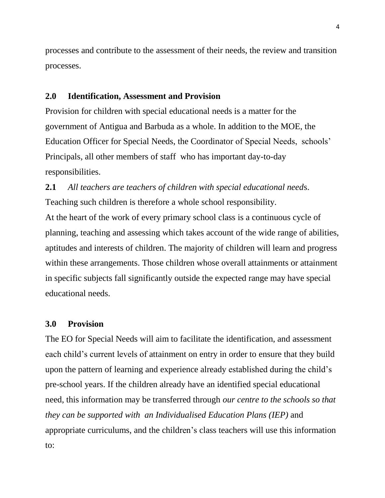processes and contribute to the assessment of their needs, the review and transition processes.

### **2.0 Identification, Assessment and Provision**

Provision for children with special educational needs is a matter for the government of Antigua and Barbuda as a whole. In addition to the MOE, the Education Officer for Special Needs, the Coordinator of Special Needs, schools' Principals, all other members of staff who has important day-to-day responsibilities.

**2.1** *All teachers are teachers of children with special educational need*s. Teaching such children is therefore a whole school responsibility. At the heart of the work of every primary school class is a continuous cycle of planning, teaching and assessing which takes account of the wide range of abilities, aptitudes and interests of children. The majority of children will learn and progress within these arrangements. Those children whose overall attainments or attainment in specific subjects fall significantly outside the expected range may have special educational needs.

## **3.0 Provision**

The EO for Special Needs will aim to facilitate the identification, and assessment each child's current levels of attainment on entry in order to ensure that they build upon the pattern of learning and experience already established during the child's pre-school years. If the children already have an identified special educational need, this information may be transferred through *our centre to the schools so that they can be supported with an Individualised Education Plans (IEP)* and appropriate curriculums, and the children's class teachers will use this information to: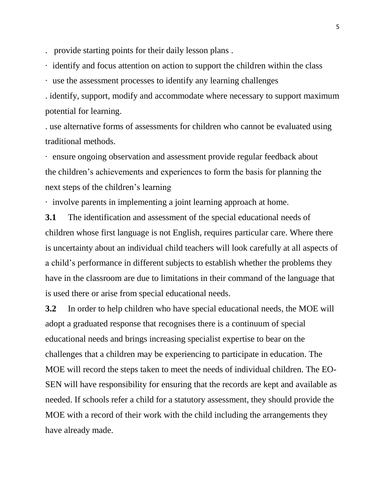. provide starting points for their daily lesson plans .

· identify and focus attention on action to support the children within the class

· use the assessment processes to identify any learning challenges

. identify, support, modify and accommodate where necessary to support maximum potential for learning.

. use alternative forms of assessments for children who cannot be evaluated using traditional methods.

· ensure ongoing observation and assessment provide regular feedback about the children's achievements and experiences to form the basis for planning the next steps of the children's learning

· involve parents in implementing a joint learning approach at home.

**3.1** The identification and assessment of the special educational needs of children whose first language is not English, requires particular care. Where there is uncertainty about an individual child teachers will look carefully at all aspects of a child's performance in different subjects to establish whether the problems they have in the classroom are due to limitations in their command of the language that is used there or arise from special educational needs.

**3.2** In order to help children who have special educational needs, the MOE will adopt a graduated response that recognises there is a continuum of special educational needs and brings increasing specialist expertise to bear on the challenges that a children may be experiencing to participate in education. The MOE will record the steps taken to meet the needs of individual children. The EO-SEN will have responsibility for ensuring that the records are kept and available as needed. If schools refer a child for a statutory assessment, they should provide the MOE with a record of their work with the child including the arrangements they have already made.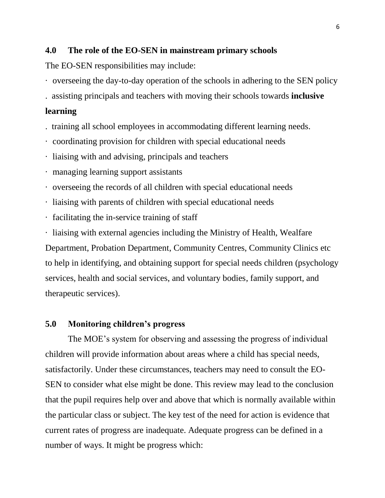#### **4.0 The role of the EO-SEN in mainstream primary schools**

The EO-SEN responsibilities may include:

· overseeing the day-to-day operation of the schools in adhering to the SEN policy

. assisting principals and teachers with moving their schools towards **inclusive** 

# **learning**

- . training all school employees in accommodating different learning needs.
- · coordinating provision for children with special educational needs
- · liaising with and advising, principals and teachers
- · managing learning support assistants
- · overseeing the records of all children with special educational needs
- · liaising with parents of children with special educational needs
- · facilitating the in-service training of staff
- · liaising with external agencies including the Ministry of Health, Wealfare

Department, Probation Department, Community Centres, Community Clinics etc to help in identifying, and obtaining support for special needs children (psychology services, health and social services, and voluntary bodies, family support, and therapeutic services).

#### **5.0 Monitoring children's progress**

The MOE's system for observing and assessing the progress of individual children will provide information about areas where a child has special needs, satisfactorily. Under these circumstances, teachers may need to consult the EO-SEN to consider what else might be done. This review may lead to the conclusion that the pupil requires help over and above that which is normally available within the particular class or subject. The key test of the need for action is evidence that current rates of progress are inadequate. Adequate progress can be defined in a number of ways. It might be progress which: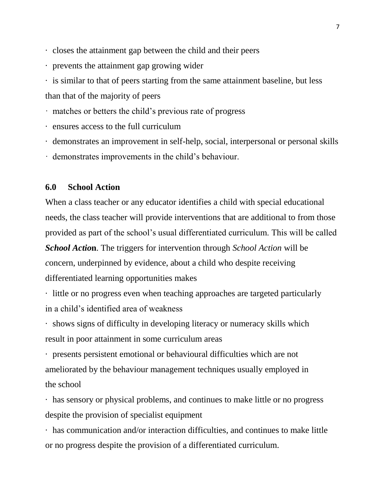- · closes the attainment gap between the child and their peers
- · prevents the attainment gap growing wider
- · is similar to that of peers starting from the same attainment baseline, but less than that of the majority of peers
- · matches or betters the child's previous rate of progress
- · ensures access to the full curriculum
- · demonstrates an improvement in self-help, social, interpersonal or personal skills
- · demonstrates improvements in the child's behaviour.

### **6.0 School Action**

When a class teacher or any educator identifies a child with special educational needs, the class teacher will provide interventions that are additional to from those provided as part of the school's usual differentiated curriculum. This will be called

*School Actio***n**. The triggers for intervention through *School Action* will be *c*oncern, underpinned by evidence, about a child who despite receiving differentiated learning opportunities makes

· little or no progress even when teaching approaches are targeted particularly in a child's identified area of weakness

· shows signs of difficulty in developing literacy or numeracy skills which result in poor attainment in some curriculum areas

· presents persistent emotional or behavioural difficulties which are not ameliorated by the behaviour management techniques usually employed in the school

· has sensory or physical problems, and continues to make little or no progress despite the provision of specialist equipment

· has communication and/or interaction difficulties, and continues to make little or no progress despite the provision of a differentiated curriculum.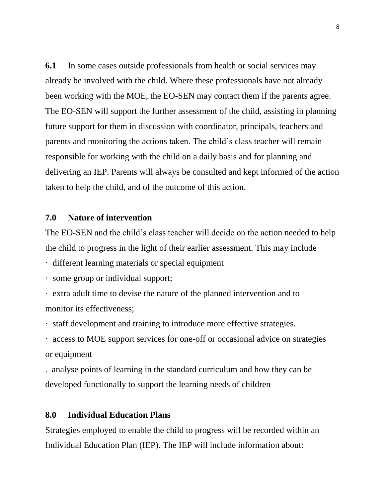**6.1** In some cases outside professionals from health or social services may already be involved with the child. Where these professionals have not already been working with the MOE, the EO-SEN may contact them if the parents agree. The EO-SEN will support the further assessment of the child, assisting in planning future support for them in discussion with coordinator, principals, teachers and parents and monitoring the actions taken. The child's class teacher will remain responsible for working with the child on a daily basis and for planning and delivering an IEP. Parents will always be consulted and kept informed of the action taken to help the child, and of the outcome of this action.

### **7.0 Nature of intervention**

The EO-SEN and the child's class teacher will decide on the action needed to help the child to progress in the light of their earlier assessment. This may include

- · different learning materials or special equipment
- · some group or individual support;
- · extra adult time to devise the nature of the planned intervention and to monitor its effectiveness;

· staff development and training to introduce more effective strategies.

· access to MOE support services for one-off or occasional advice on strategies or equipment

. analyse points of learning in the standard curriculum and how they can be developed functionally to support the learning needs of children

## **8.0 Individual Education Plans**

Strategies employed to enable the child to progress will be recorded within an Individual Education Plan (IEP). The IEP will include information about: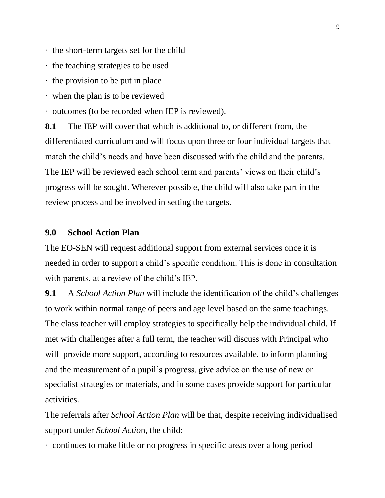- · the short-term targets set for the child
- · the teaching strategies to be used
- · the provision to be put in place
- · when the plan is to be reviewed
- · outcomes (to be recorded when IEP is reviewed).

**8.1** The IEP will cover that which is additional to, or different from, the differentiated curriculum and will focus upon three or four individual targets that match the child's needs and have been discussed with the child and the parents. The IEP will be reviewed each school term and parents' views on their child's progress will be sought. Wherever possible, the child will also take part in the review process and be involved in setting the targets.

#### **9.0 School Action Plan**

The EO-SEN will request additional support from external services once it is needed in order to support a child's specific condition. This is done in consultation with parents, at a review of the child's IEP.

**9.1** A *School Action Plan* will include the identification of the child's challenges to work within normal range of peers and age level based on the same teachings. The class teacher will employ strategies to specifically help the individual child. If met with challenges after a full term, the teacher will discuss with Principal who will provide more support, according to resources available, to inform planning and the measurement of a pupil's progress, give advice on the use of new or specialist strategies or materials, and in some cases provide support for particular activities.

The referrals after *School Action Plan* will be that, despite receiving individualised support under *School Actio*n, the child:

· continues to make little or no progress in specific areas over a long period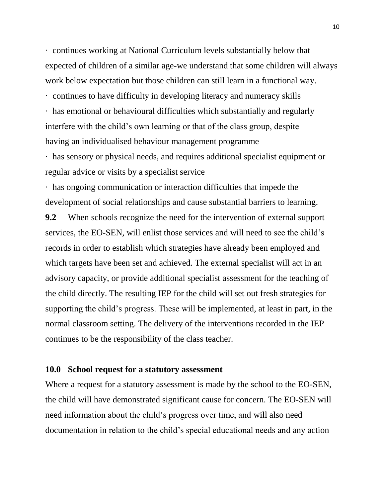· continues working at National Curriculum levels substantially below that expected of children of a similar age-we understand that some children will always work below expectation but those children can still learn in a functional way.

· continues to have difficulty in developing literacy and numeracy skills

· has emotional or behavioural difficulties which substantially and regularly interfere with the child's own learning or that of the class group, despite having an individualised behaviour management programme

· has sensory or physical needs, and requires additional specialist equipment or regular advice or visits by a specialist service

· has ongoing communication or interaction difficulties that impede the development of social relationships and cause substantial barriers to learning.

**9.2** When schools recognize the need for the intervention of external support services, the EO-SEN, will enlist those services and will need to see the child's records in order to establish which strategies have already been employed and which targets have been set and achieved. The external specialist will act in an advisory capacity, or provide additional specialist assessment for the teaching of the child directly. The resulting IEP for the child will set out fresh strategies for supporting the child's progress. These will be implemented, at least in part, in the normal classroom setting. The delivery of the interventions recorded in the IEP continues to be the responsibility of the class teacher.

#### **10.0 School request for a statutory assessment**

Where a request for a statutory assessment is made by the school to the EO-SEN, the child will have demonstrated significant cause for concern. The EO-SEN will need information about the child's progress over time, and will also need documentation in relation to the child's special educational needs and any action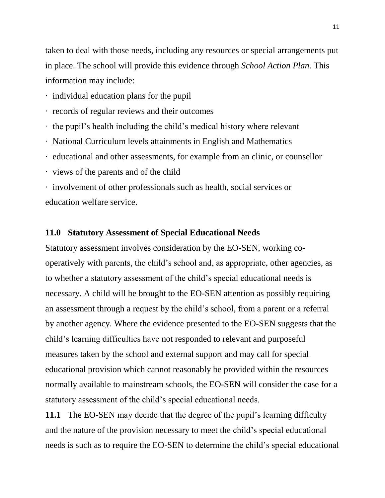taken to deal with those needs, including any resources or special arrangements put in place. The school will provide this evidence through *School Action Plan.* This information may include:

- · individual education plans for the pupil
- · records of regular reviews and their outcomes
- · the pupil's health including the child's medical history where relevant
- · National Curriculum levels attainments in English and Mathematics
- · educational and other assessments, for example from an clinic, or counsellor
- · views of the parents and of the child
- · involvement of other professionals such as health, social services or education welfare service.

#### **11.0 Statutory Assessment of Special Educational Needs**

Statutory assessment involves consideration by the EO-SEN, working cooperatively with parents, the child's school and, as appropriate, other agencies, as to whether a statutory assessment of the child's special educational needs is necessary. A child will be brought to the EO-SEN attention as possibly requiring an assessment through a request by the child's school, from a parent or a referral by another agency. Where the evidence presented to the EO-SEN suggests that the child's learning difficulties have not responded to relevant and purposeful measures taken by the school and external support and may call for special educational provision which cannot reasonably be provided within the resources normally available to mainstream schools, the EO-SEN will consider the case for a statutory assessment of the child's special educational needs.

**11.1** The EO-SEN may decide that the degree of the pupil's learning difficulty and the nature of the provision necessary to meet the child's special educational needs is such as to require the EO-SEN to determine the child's special educational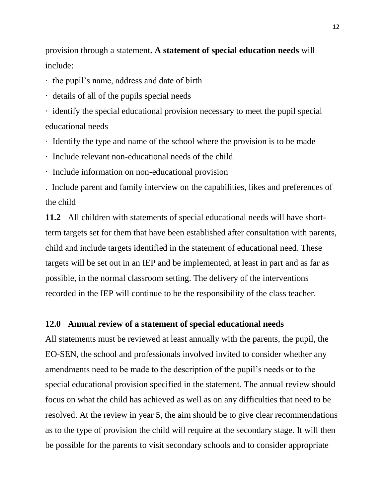provision through a statement**. A statement of special education needs** will include:

- · the pupil's name, address and date of birth
- · details of all of the pupils special needs
- · identify the special educational provision necessary to meet the pupil special educational needs
- · Identify the type and name of the school where the provision is to be made
- · Include relevant non-educational needs of the child
- · Include information on non-educational provision

. Include parent and family interview on the capabilities, likes and preferences of the child

**11.2** All children with statements of special educational needs will have shortterm targets set for them that have been established after consultation with parents, child and include targets identified in the statement of educational need. These targets will be set out in an IEP and be implemented, at least in part and as far as possible, in the normal classroom setting. The delivery of the interventions recorded in the IEP will continue to be the responsibility of the class teacher.

#### **12.0 Annual review of a statement of special educational needs**

All statements must be reviewed at least annually with the parents, the pupil, the EO-SEN, the school and professionals involved invited to consider whether any amendments need to be made to the description of the pupil's needs or to the special educational provision specified in the statement. The annual review should focus on what the child has achieved as well as on any difficulties that need to be resolved. At the review in year 5, the aim should be to give clear recommendations as to the type of provision the child will require at the secondary stage. It will then be possible for the parents to visit secondary schools and to consider appropriate